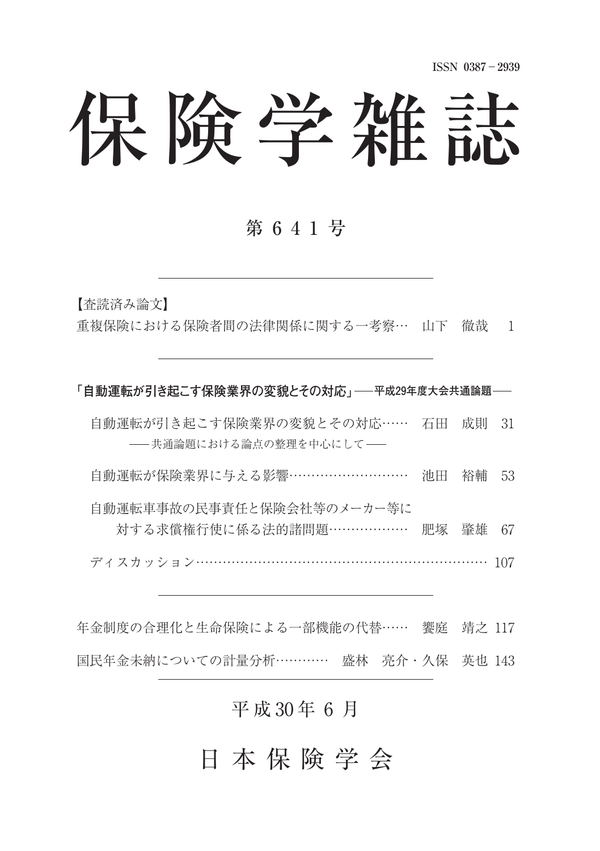# 保険学雑誌

# 第 6 4 1 号

【査読済み論文】

重複保険における保険者間の法律関係に関する一考察… 山下 徹哉 1

### **「自動運転が引き起こす保険業界の変貌とその対応」──平成29年度大会共通論題──**

- 白動運転が引き起こす保険業界の変貌とその対応…… 石田 成則 31 - 共通論題における論点の整理を中心にして一
- 白動運転が保険業界に与える影響 ……………………… 池田 裕輔 53
- 自動運転車事故の民事責任と保険会社等のメーカー等に
- 対する求償権行使に係る法的諸問題 ……………… 肥塚 肇雄 67
- ディスカッション……………………………………………………… 107

年金制度の合理化と生命保険による一部機能の代替 …… 饗庭 靖之 117

国民年金未納についての計量分析………… 盛林 亮介・久保 英也 143

# 平成 30年 6月

# 日 本 保 険 学 会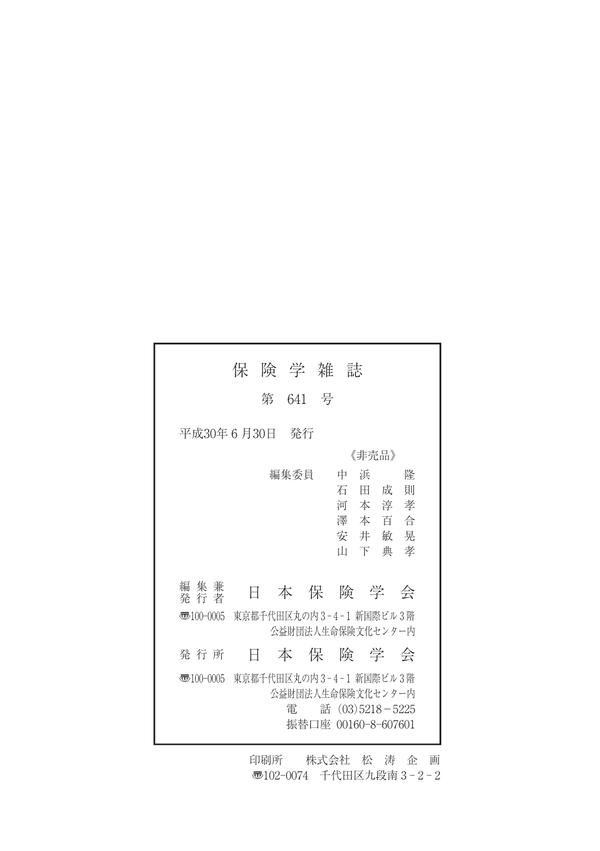| 保 険 学 雑 誌                                                                                                  |                                     |
|------------------------------------------------------------------------------------------------------------|-------------------------------------|
| 第 641 号                                                                                                    |                                     |
| 平成30年 6 月30日<br>- 発行                                                                                       |                                     |
|                                                                                                            | 《非壳品》                               |
| 編集委員<br>浜<br>中<br>石田成<br>TП<br>下典                                                                          | 降<br>則<br>河本淳孝<br>澤本百合<br>安井敏晃<br>孝 |
| 編 集 兼<br>本保険学会<br>Ħ<br>発行者                                                                                 |                                     |
| 東京都千代田区丸の内3-4-1 新国際ビル3階<br>$\overline{3}100-0005$<br>公益財団法人生命保険文化センター内                                     |                                     |
| 本保険学会<br>発 行 所<br>Ħ                                                                                        |                                     |
| 35100-0005 東京都千代田区丸の内3-4-1 新国際ビル3階<br>公益財団法人生命保険文化センター内<br>話 $(03)5218 - 5225$<br>雷<br>振替口座 00160-8-607601 |                                     |

印刷所 株式会社 松 涛 企 画 〠102-0074 千代田区九段南 3 - 2 - 2